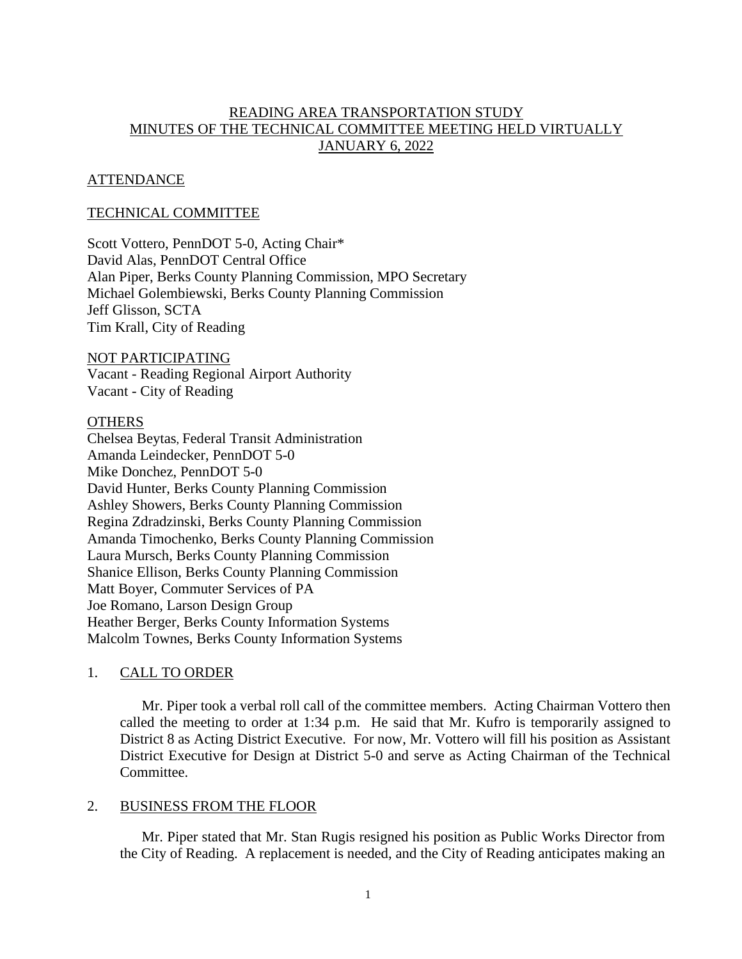# READING AREA TRANSPORTATION STUDY MINUTES OF THE TECHNICAL COMMITTEE MEETING HELD VIRTUALLY JANUARY 6, 2022

# **ATTENDANCE**

## TECHNICAL COMMITTEE

Scott Vottero, PennDOT 5-0, Acting Chair\* David Alas, PennDOT Central Office Alan Piper, Berks County Planning Commission, MPO Secretary Michael Golembiewski, Berks County Planning Commission Jeff Glisson, SCTA Tim Krall, City of Reading

# NOT PARTICIPATING

Vacant - Reading Regional Airport Authority Vacant - City of Reading

#### **OTHERS**

Chelsea Beytas, Federal Transit Administration Amanda Leindecker, PennDOT 5-0 Mike Donchez, PennDOT 5-0 David Hunter, Berks County Planning Commission Ashley Showers, Berks County Planning Commission Regina Zdradzinski, Berks County Planning Commission Amanda Timochenko, Berks County Planning Commission Laura Mursch, Berks County Planning Commission Shanice Ellison, Berks County Planning Commission Matt Boyer, Commuter Services of PA Joe Romano, Larson Design Group Heather Berger, Berks County Information Systems Malcolm Townes, Berks County Information Systems

## 1. CALL TO ORDER

Mr. Piper took a verbal roll call of the committee members. Acting Chairman Vottero then called the meeting to order at 1:34 p.m. He said that Mr. Kufro is temporarily assigned to District 8 as Acting District Executive. For now, Mr. Vottero will fill his position as Assistant District Executive for Design at District 5-0 and serve as Acting Chairman of the Technical Committee.

#### 2. BUSINESS FROM THE FLOOR

Mr. Piper stated that Mr. Stan Rugis resigned his position as Public Works Director from the City of Reading. A replacement is needed, and the City of Reading anticipates making an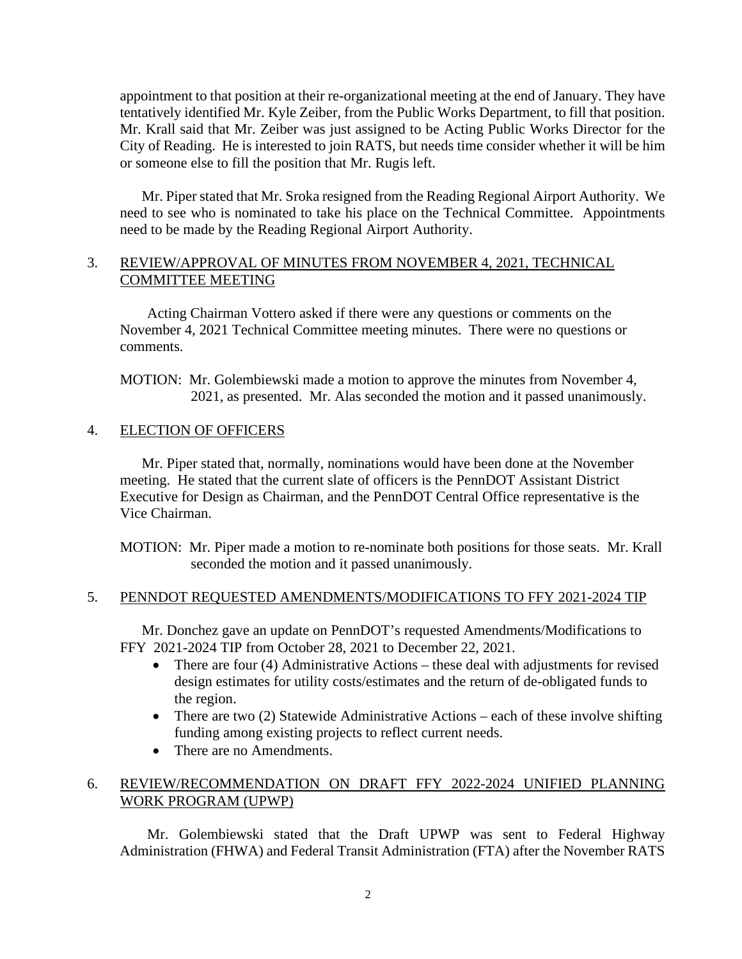appointment to that position at their re-organizational meeting at the end of January. They have tentatively identified Mr. Kyle Zeiber, from the Public Works Department, to fill that position. Mr. Krall said that Mr. Zeiber was just assigned to be Acting Public Works Director for the City of Reading. He is interested to join RATS, but needs time consider whether it will be him or someone else to fill the position that Mr. Rugis left.

Mr. Piper stated that Mr. Sroka resigned from the Reading Regional Airport Authority. We need to see who is nominated to take his place on the Technical Committee. Appointments need to be made by the Reading Regional Airport Authority.

# 3. REVIEW/APPROVAL OF MINUTES FROM NOVEMBER 4, 2021, TECHNICAL COMMITTEE MEETING

Acting Chairman Vottero asked if there were any questions or comments on the November 4, 2021 Technical Committee meeting minutes. There were no questions or comments.

MOTION: Mr. Golembiewski made a motion to approve the minutes from November 4, 2021, as presented. Mr. Alas seconded the motion and it passed unanimously.

# 4. ELECTION OF OFFICERS

Mr. Piper stated that, normally, nominations would have been done at the November meeting. He stated that the current slate of officers is the PennDOT Assistant District Executive for Design as Chairman, and the PennDOT Central Office representative is the Vice Chairman.

MOTION: Mr. Piper made a motion to re-nominate both positions for those seats. Mr. Krall seconded the motion and it passed unanimously.

## 5. PENNDOT REQUESTED AMENDMENTS/MODIFICATIONS TO FFY 2021-2024 TIP

Mr. Donchez gave an update on PennDOT's requested Amendments/Modifications to FFY 2021-2024 TIP from October 28, 2021 to December 22, 2021.

- There are four (4) Administrative Actions these deal with adjustments for revised design estimates for utility costs/estimates and the return of de-obligated funds to the region.
- There are two (2) Statewide Administrative Actions each of these involve shifting funding among existing projects to reflect current needs.
- There are no Amendments.

# 6. REVIEW/RECOMMENDATION ON DRAFT FFY 2022-2024 UNIFIED PLANNING WORK PROGRAM (UPWP)

Mr. Golembiewski stated that the Draft UPWP was sent to Federal Highway Administration (FHWA) and Federal Transit Administration (FTA) after the November RATS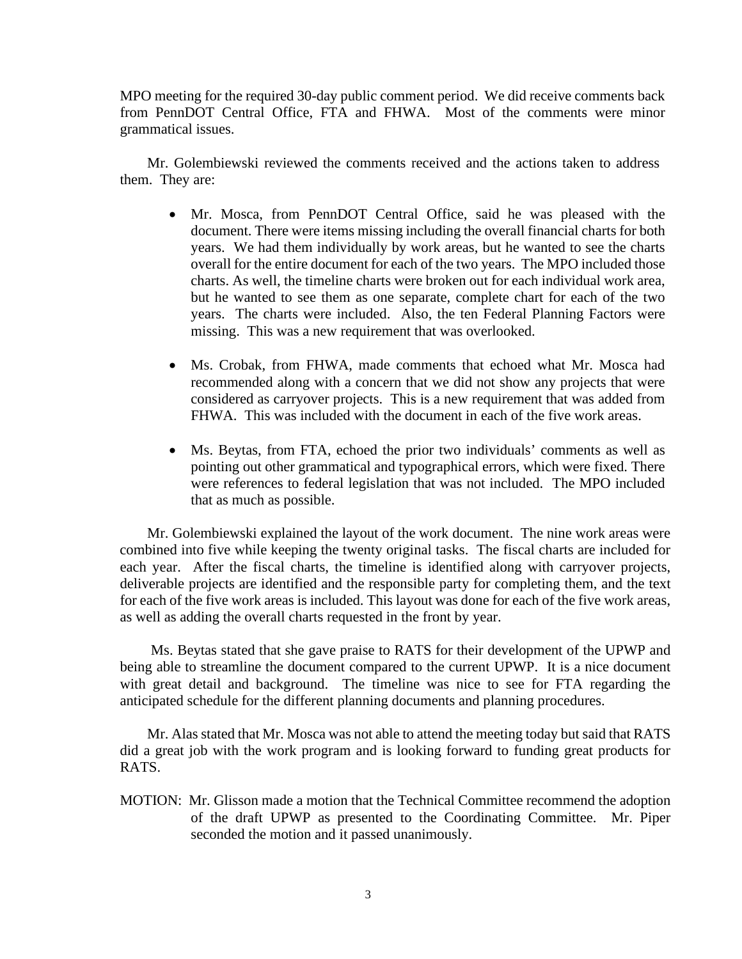MPO meeting for the required 30-day public comment period. We did receive comments back from PennDOT Central Office, FTA and FHWA. Most of the comments were minor grammatical issues.

Mr. Golembiewski reviewed the comments received and the actions taken to address them. They are:

- Mr. Mosca, from PennDOT Central Office, said he was pleased with the document. There were items missing including the overall financial charts for both years. We had them individually by work areas, but he wanted to see the charts overall for the entire document for each of the two years. The MPO included those charts. As well, the timeline charts were broken out for each individual work area, but he wanted to see them as one separate, complete chart for each of the two years. The charts were included. Also, the ten Federal Planning Factors were missing. This was a new requirement that was overlooked.
- Ms. Crobak, from FHWA, made comments that echoed what Mr. Mosca had recommended along with a concern that we did not show any projects that were considered as carryover projects. This is a new requirement that was added from FHWA. This was included with the document in each of the five work areas.
- Ms. Beytas, from FTA, echoed the prior two individuals' comments as well as pointing out other grammatical and typographical errors, which were fixed. There were references to federal legislation that was not included. The MPO included that as much as possible.

Mr. Golembiewski explained the layout of the work document. The nine work areas were combined into five while keeping the twenty original tasks. The fiscal charts are included for each year. After the fiscal charts, the timeline is identified along with carryover projects, deliverable projects are identified and the responsible party for completing them, and the text for each of the five work areas is included. This layout was done for each of the five work areas, as well as adding the overall charts requested in the front by year.

Ms. Beytas stated that she gave praise to RATS for their development of the UPWP and being able to streamline the document compared to the current UPWP. It is a nice document with great detail and background. The timeline was nice to see for FTA regarding the anticipated schedule for the different planning documents and planning procedures.

Mr. Alas stated that Mr. Mosca was not able to attend the meeting today but said that RATS did a great job with the work program and is looking forward to funding great products for RATS.

MOTION: Mr. Glisson made a motion that the Technical Committee recommend the adoption of the draft UPWP as presented to the Coordinating Committee. Mr. Piper seconded the motion and it passed unanimously.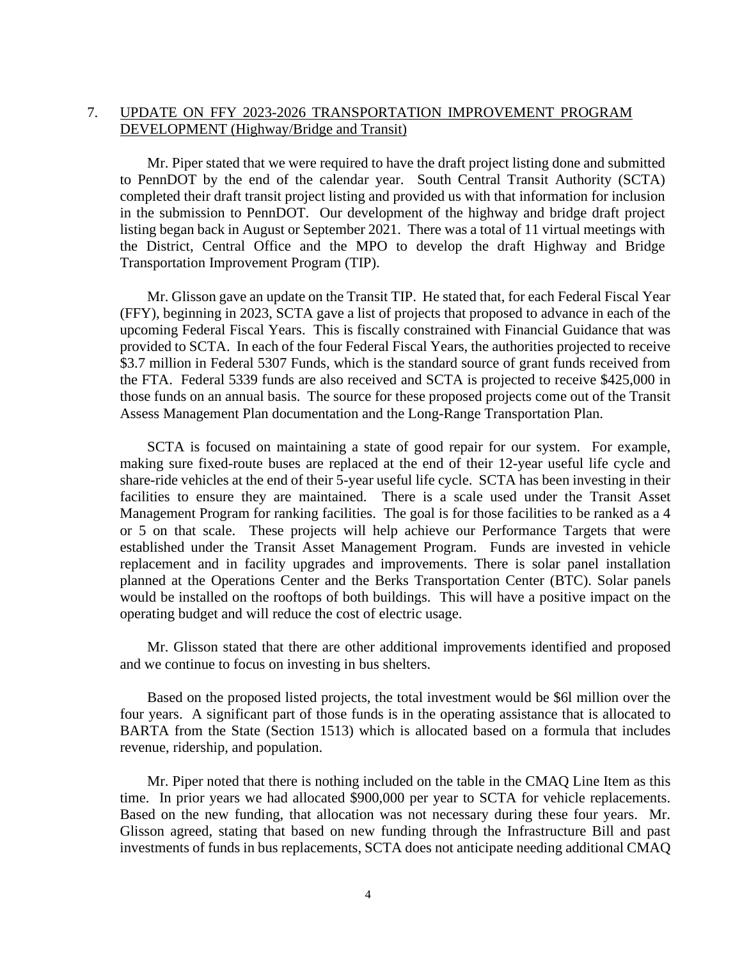# 7. UPDATE ON FFY 2023-2026 TRANSPORTATION IMPROVEMENT PROGRAM DEVELOPMENT (Highway/Bridge and Transit)

Mr. Piper stated that we were required to have the draft project listing done and submitted to PennDOT by the end of the calendar year. South Central Transit Authority (SCTA) completed their draft transit project listing and provided us with that information for inclusion in the submission to PennDOT. Our development of the highway and bridge draft project listing began back in August or September 2021. There was a total of 11 virtual meetings with the District, Central Office and the MPO to develop the draft Highway and Bridge Transportation Improvement Program (TIP).

Mr. Glisson gave an update on the Transit TIP. He stated that, for each Federal Fiscal Year (FFY), beginning in 2023, SCTA gave a list of projects that proposed to advance in each of the upcoming Federal Fiscal Years. This is fiscally constrained with Financial Guidance that was provided to SCTA. In each of the four Federal Fiscal Years, the authorities projected to receive \$3.7 million in Federal 5307 Funds, which is the standard source of grant funds received from the FTA. Federal 5339 funds are also received and SCTA is projected to receive \$425,000 in those funds on an annual basis. The source for these proposed projects come out of the Transit Assess Management Plan documentation and the Long-Range Transportation Plan.

SCTA is focused on maintaining a state of good repair for our system. For example, making sure fixed-route buses are replaced at the end of their 12-year useful life cycle and share-ride vehicles at the end of their 5-year useful life cycle. SCTA has been investing in their facilities to ensure they are maintained. There is a scale used under the Transit Asset Management Program for ranking facilities. The goal is for those facilities to be ranked as a 4 or 5 on that scale. These projects will help achieve our Performance Targets that were established under the Transit Asset Management Program. Funds are invested in vehicle replacement and in facility upgrades and improvements. There is solar panel installation planned at the Operations Center and the Berks Transportation Center (BTC). Solar panels would be installed on the rooftops of both buildings. This will have a positive impact on the operating budget and will reduce the cost of electric usage.

Mr. Glisson stated that there are other additional improvements identified and proposed and we continue to focus on investing in bus shelters.

Based on the proposed listed projects, the total investment would be \$6l million over the four years. A significant part of those funds is in the operating assistance that is allocated to BARTA from the State (Section 1513) which is allocated based on a formula that includes revenue, ridership, and population.

Mr. Piper noted that there is nothing included on the table in the CMAQ Line Item as this time. In prior years we had allocated \$900,000 per year to SCTA for vehicle replacements. Based on the new funding, that allocation was not necessary during these four years. Mr. Glisson agreed, stating that based on new funding through the Infrastructure Bill and past investments of funds in bus replacements, SCTA does not anticipate needing additional CMAQ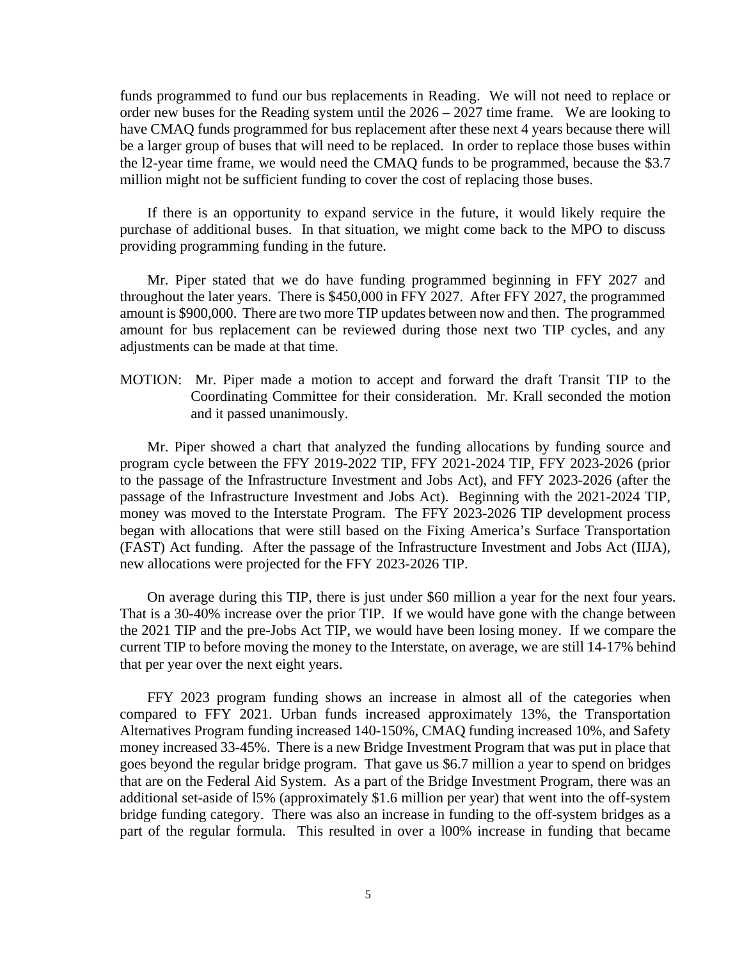funds programmed to fund our bus replacements in Reading. We will not need to replace or order new buses for the Reading system until the 2026 – 2027 time frame. We are looking to have CMAQ funds programmed for bus replacement after these next 4 years because there will be a larger group of buses that will need to be replaced. In order to replace those buses within the l2-year time frame, we would need the CMAQ funds to be programmed, because the \$3.7 million might not be sufficient funding to cover the cost of replacing those buses.

If there is an opportunity to expand service in the future, it would likely require the purchase of additional buses. In that situation, we might come back to the MPO to discuss providing programming funding in the future.

Mr. Piper stated that we do have funding programmed beginning in FFY 2027 and throughout the later years. There is \$450,000 in FFY 2027. After FFY 2027, the programmed amount is \$900,000. There are two more TIP updates between now and then. The programmed amount for bus replacement can be reviewed during those next two TIP cycles, and any adjustments can be made at that time.

MOTION: Mr. Piper made a motion to accept and forward the draft Transit TIP to the Coordinating Committee for their consideration. Mr. Krall seconded the motion and it passed unanimously.

Mr. Piper showed a chart that analyzed the funding allocations by funding source and program cycle between the FFY 2019-2022 TIP, FFY 2021-2024 TIP, FFY 2023-2026 (prior to the passage of the Infrastructure Investment and Jobs Act), and FFY 2023-2026 (after the passage of the Infrastructure Investment and Jobs Act). Beginning with the 2021-2024 TIP, money was moved to the Interstate Program. The FFY 2023-2026 TIP development process began with allocations that were still based on the Fixing America's Surface Transportation (FAST) Act funding. After the passage of the Infrastructure Investment and Jobs Act (IIJA), new allocations were projected for the FFY 2023-2026 TIP.

On average during this TIP, there is just under \$60 million a year for the next four years. That is a 30-40% increase over the prior TIP. If we would have gone with the change between the 2021 TIP and the pre-Jobs Act TIP, we would have been losing money. If we compare the current TIP to before moving the money to the Interstate, on average, we are still 14-17% behind that per year over the next eight years.

FFY 2023 program funding shows an increase in almost all of the categories when compared to FFY 2021. Urban funds increased approximately 13%, the Transportation Alternatives Program funding increased 140-150%, CMAQ funding increased 10%, and Safety money increased 33-45%. There is a new Bridge Investment Program that was put in place that goes beyond the regular bridge program. That gave us \$6.7 million a year to spend on bridges that are on the Federal Aid System. As a part of the Bridge Investment Program, there was an additional set-aside of l5% (approximately \$1.6 million per year) that went into the off-system bridge funding category. There was also an increase in funding to the off-system bridges as a part of the regular formula. This resulted in over a l00% increase in funding that became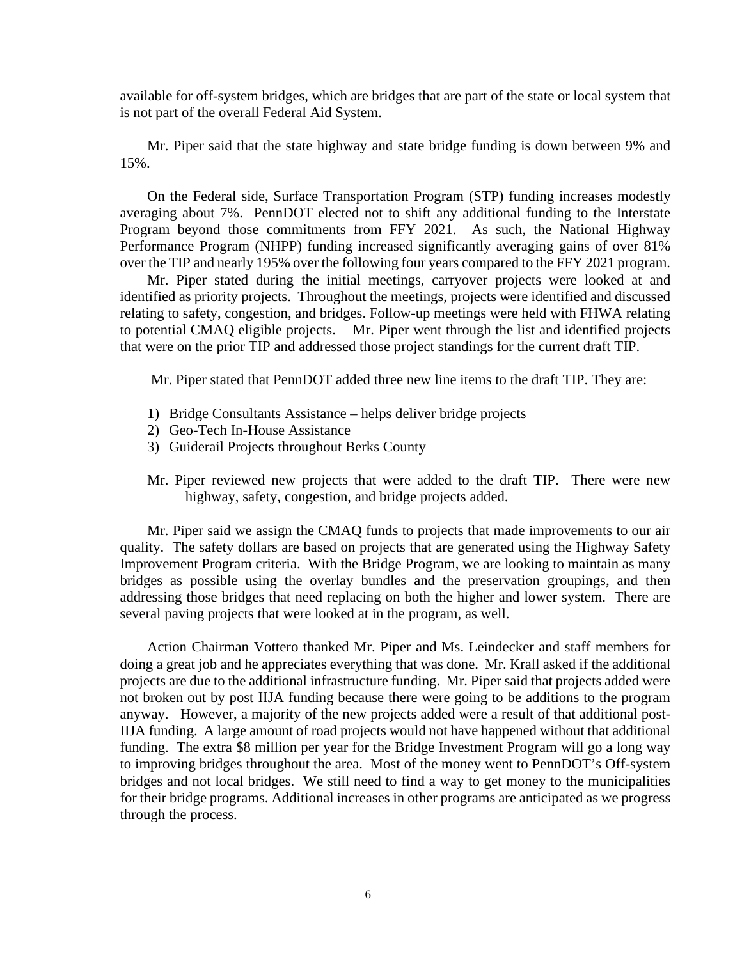available for off-system bridges, which are bridges that are part of the state or local system that is not part of the overall Federal Aid System.

Mr. Piper said that the state highway and state bridge funding is down between 9% and 15%.

On the Federal side, Surface Transportation Program (STP) funding increases modestly averaging about 7%. PennDOT elected not to shift any additional funding to the Interstate Program beyond those commitments from FFY 2021. As such, the National Highway Performance Program (NHPP) funding increased significantly averaging gains of over 81% over the TIP and nearly 195% over the following four years compared to the FFY 2021 program.

Mr. Piper stated during the initial meetings, carryover projects were looked at and identified as priority projects. Throughout the meetings, projects were identified and discussed relating to safety, congestion, and bridges. Follow-up meetings were held with FHWA relating to potential CMAQ eligible projects. Mr. Piper went through the list and identified projects that were on the prior TIP and addressed those project standings for the current draft TIP.

Mr. Piper stated that PennDOT added three new line items to the draft TIP. They are:

- 1) Bridge Consultants Assistance helps deliver bridge projects
- 2) Geo-Tech In-House Assistance
- 3) Guiderail Projects throughout Berks County
- Mr. Piper reviewed new projects that were added to the draft TIP. There were new highway, safety, congestion, and bridge projects added.

Mr. Piper said we assign the CMAQ funds to projects that made improvements to our air quality. The safety dollars are based on projects that are generated using the Highway Safety Improvement Program criteria. With the Bridge Program, we are looking to maintain as many bridges as possible using the overlay bundles and the preservation groupings, and then addressing those bridges that need replacing on both the higher and lower system. There are several paving projects that were looked at in the program, as well.

Action Chairman Vottero thanked Mr. Piper and Ms. Leindecker and staff members for doing a great job and he appreciates everything that was done. Mr. Krall asked if the additional projects are due to the additional infrastructure funding. Mr. Piper said that projects added were not broken out by post IIJA funding because there were going to be additions to the program anyway. However, a majority of the new projects added were a result of that additional post-IIJA funding. A large amount of road projects would not have happened without that additional funding. The extra \$8 million per year for the Bridge Investment Program will go a long way to improving bridges throughout the area. Most of the money went to PennDOT's Off-system bridges and not local bridges. We still need to find a way to get money to the municipalities for their bridge programs. Additional increases in other programs are anticipated as we progress through the process.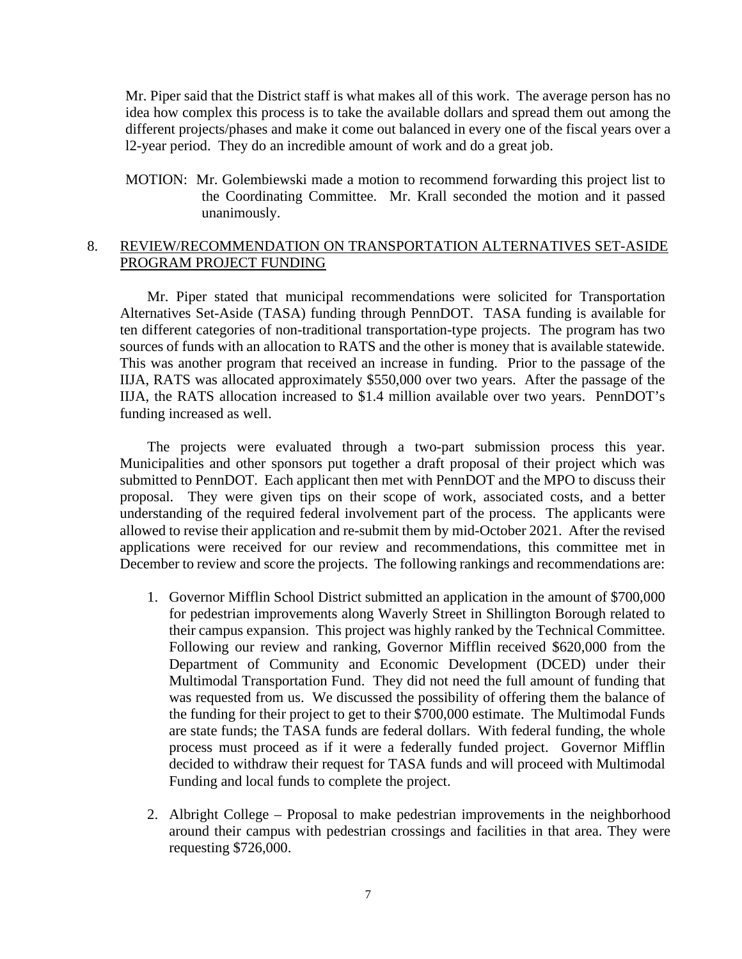Mr. Piper said that the District staff is what makes all of this work. The average person has no idea how complex this process is to take the available dollars and spread them out among the different projects/phases and make it come out balanced in every one of the fiscal years over a l2-year period. They do an incredible amount of work and do a great job.

MOTION: Mr. Golembiewski made a motion to recommend forwarding this project list to the Coordinating Committee. Mr. Krall seconded the motion and it passed unanimously.

# 8. REVIEW/RECOMMENDATION ON TRANSPORTATION ALTERNATIVES SET-ASIDE PROGRAM PROJECT FUNDING

Mr. Piper stated that municipal recommendations were solicited for Transportation Alternatives Set-Aside (TASA) funding through PennDOT. TASA funding is available for ten different categories of non-traditional transportation-type projects. The program has two sources of funds with an allocation to RATS and the other is money that is available statewide. This was another program that received an increase in funding. Prior to the passage of the IIJA, RATS was allocated approximately \$550,000 over two years. After the passage of the IIJA, the RATS allocation increased to \$1.4 million available over two years. PennDOT's funding increased as well.

The projects were evaluated through a two-part submission process this year. Municipalities and other sponsors put together a draft proposal of their project which was submitted to PennDOT. Each applicant then met with PennDOT and the MPO to discuss their proposal. They were given tips on their scope of work, associated costs, and a better understanding of the required federal involvement part of the process. The applicants were allowed to revise their application and re-submit them by mid-October 2021. After the revised applications were received for our review and recommendations, this committee met in December to review and score the projects. The following rankings and recommendations are:

- 1. Governor Mifflin School District submitted an application in the amount of \$700,000 for pedestrian improvements along Waverly Street in Shillington Borough related to their campus expansion. This project was highly ranked by the Technical Committee. Following our review and ranking, Governor Mifflin received \$620,000 from the Department of Community and Economic Development (DCED) under their Multimodal Transportation Fund. They did not need the full amount of funding that was requested from us. We discussed the possibility of offering them the balance of the funding for their project to get to their \$700,000 estimate. The Multimodal Funds are state funds; the TASA funds are federal dollars. With federal funding, the whole process must proceed as if it were a federally funded project. Governor Mifflin decided to withdraw their request for TASA funds and will proceed with Multimodal Funding and local funds to complete the project.
- 2. Albright College Proposal to make pedestrian improvements in the neighborhood around their campus with pedestrian crossings and facilities in that area. They were requesting \$726,000.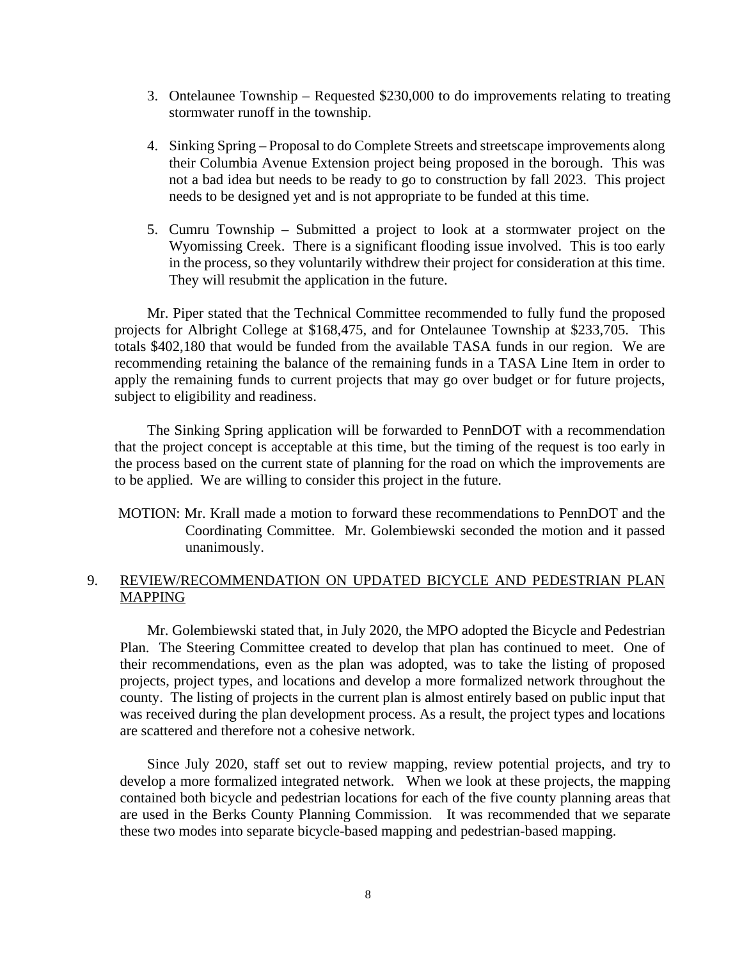- 3. Ontelaunee Township Requested \$230,000 to do improvements relating to treating stormwater runoff in the township.
- 4. Sinking Spring Proposal to do Complete Streets and streetscape improvements along their Columbia Avenue Extension project being proposed in the borough. This was not a bad idea but needs to be ready to go to construction by fall 2023. This project needs to be designed yet and is not appropriate to be funded at this time.
- 5. Cumru Township Submitted a project to look at a stormwater project on the Wyomissing Creek. There is a significant flooding issue involved. This is too early in the process, so they voluntarily withdrew their project for consideration at this time. They will resubmit the application in the future.

Mr. Piper stated that the Technical Committee recommended to fully fund the proposed projects for Albright College at \$168,475, and for Ontelaunee Township at \$233,705. This totals \$402,180 that would be funded from the available TASA funds in our region. We are recommending retaining the balance of the remaining funds in a TASA Line Item in order to apply the remaining funds to current projects that may go over budget or for future projects, subject to eligibility and readiness.

The Sinking Spring application will be forwarded to PennDOT with a recommendation that the project concept is acceptable at this time, but the timing of the request is too early in the process based on the current state of planning for the road on which the improvements are to be applied. We are willing to consider this project in the future.

MOTION: Mr. Krall made a motion to forward these recommendations to PennDOT and the Coordinating Committee. Mr. Golembiewski seconded the motion and it passed unanimously.

# 9. REVIEW/RECOMMENDATION ON UPDATED BICYCLE AND PEDESTRIAN PLAN MAPPING

Mr. Golembiewski stated that, in July 2020, the MPO adopted the Bicycle and Pedestrian Plan. The Steering Committee created to develop that plan has continued to meet. One of their recommendations, even as the plan was adopted, was to take the listing of proposed projects, project types, and locations and develop a more formalized network throughout the county. The listing of projects in the current plan is almost entirely based on public input that was received during the plan development process. As a result, the project types and locations are scattered and therefore not a cohesive network.

Since July 2020, staff set out to review mapping, review potential projects, and try to develop a more formalized integrated network. When we look at these projects, the mapping contained both bicycle and pedestrian locations for each of the five county planning areas that are used in the Berks County Planning Commission. It was recommended that we separate these two modes into separate bicycle-based mapping and pedestrian-based mapping.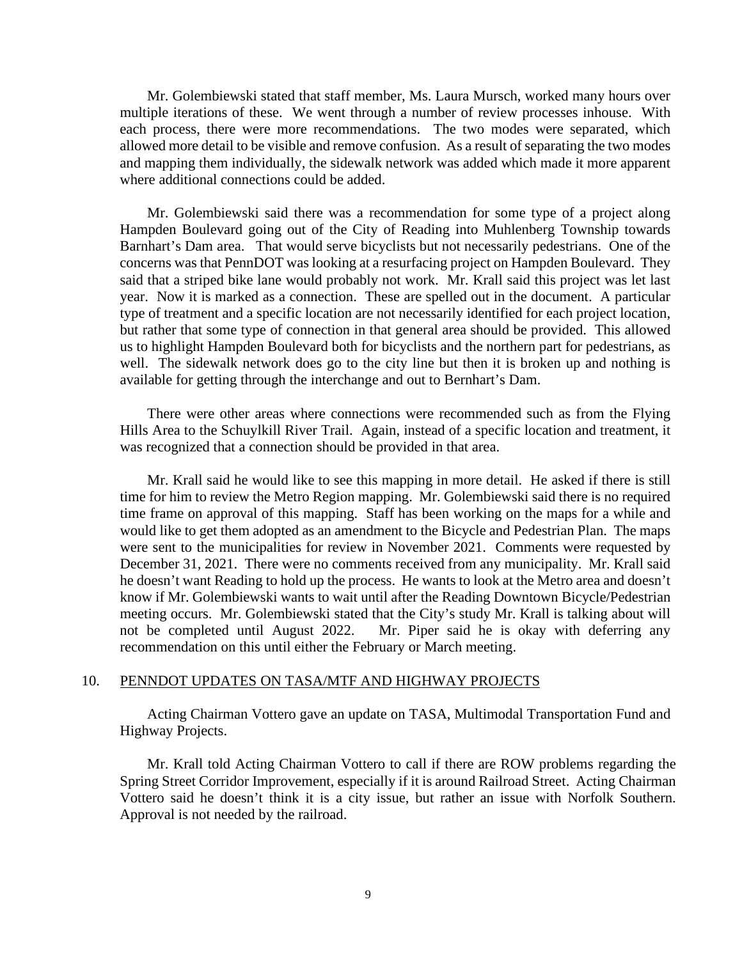Mr. Golembiewski stated that staff member, Ms. Laura Mursch, worked many hours over multiple iterations of these. We went through a number of review processes inhouse. With each process, there were more recommendations. The two modes were separated, which allowed more detail to be visible and remove confusion. As a result of separating the two modes and mapping them individually, the sidewalk network was added which made it more apparent where additional connections could be added.

Mr. Golembiewski said there was a recommendation for some type of a project along Hampden Boulevard going out of the City of Reading into Muhlenberg Township towards Barnhart's Dam area. That would serve bicyclists but not necessarily pedestrians. One of the concerns was that PennDOT was looking at a resurfacing project on Hampden Boulevard. They said that a striped bike lane would probably not work. Mr. Krall said this project was let last year. Now it is marked as a connection. These are spelled out in the document. A particular type of treatment and a specific location are not necessarily identified for each project location, but rather that some type of connection in that general area should be provided. This allowed us to highlight Hampden Boulevard both for bicyclists and the northern part for pedestrians, as well. The sidewalk network does go to the city line but then it is broken up and nothing is available for getting through the interchange and out to Bernhart's Dam.

There were other areas where connections were recommended such as from the Flying Hills Area to the Schuylkill River Trail. Again, instead of a specific location and treatment, it was recognized that a connection should be provided in that area.

Mr. Krall said he would like to see this mapping in more detail. He asked if there is still time for him to review the Metro Region mapping. Mr. Golembiewski said there is no required time frame on approval of this mapping. Staff has been working on the maps for a while and would like to get them adopted as an amendment to the Bicycle and Pedestrian Plan. The maps were sent to the municipalities for review in November 2021. Comments were requested by December 31, 2021. There were no comments received from any municipality. Mr. Krall said he doesn't want Reading to hold up the process. He wants to look at the Metro area and doesn't know if Mr. Golembiewski wants to wait until after the Reading Downtown Bicycle/Pedestrian meeting occurs. Mr. Golembiewski stated that the City's study Mr. Krall is talking about will not be completed until August 2022. Mr. Piper said he is okay with deferring any recommendation on this until either the February or March meeting.

#### 10. PENNDOT UPDATES ON TASA/MTF AND HIGHWAY PROJECTS

Acting Chairman Vottero gave an update on TASA, Multimodal Transportation Fund and Highway Projects.

Mr. Krall told Acting Chairman Vottero to call if there are ROW problems regarding the Spring Street Corridor Improvement, especially if it is around Railroad Street. Acting Chairman Vottero said he doesn't think it is a city issue, but rather an issue with Norfolk Southern. Approval is not needed by the railroad.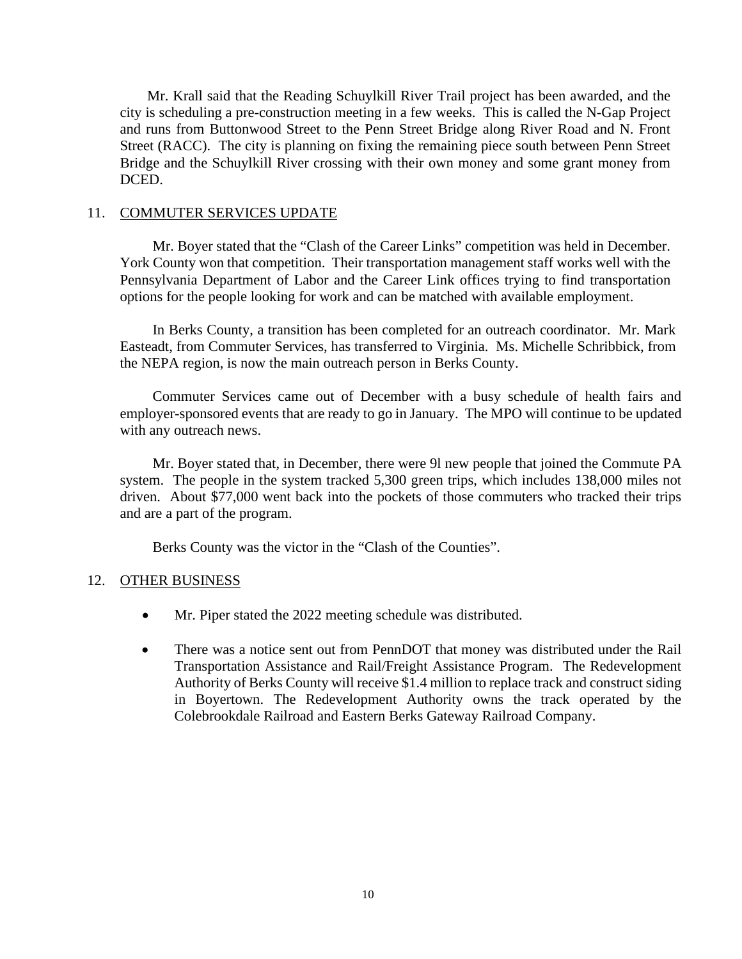Mr. Krall said that the Reading Schuylkill River Trail project has been awarded, and the city is scheduling a pre-construction meeting in a few weeks. This is called the N-Gap Project and runs from Buttonwood Street to the Penn Street Bridge along River Road and N. Front Street (RACC). The city is planning on fixing the remaining piece south between Penn Street Bridge and the Schuylkill River crossing with their own money and some grant money from DCED.

#### 11. COMMUTER SERVICES UPDATE

Mr. Boyer stated that the "Clash of the Career Links" competition was held in December. York County won that competition. Their transportation management staff works well with the Pennsylvania Department of Labor and the Career Link offices trying to find transportation options for the people looking for work and can be matched with available employment.

In Berks County, a transition has been completed for an outreach coordinator. Mr. Mark Easteadt, from Commuter Services, has transferred to Virginia. Ms. Michelle Schribbick, from the NEPA region, is now the main outreach person in Berks County.

Commuter Services came out of December with a busy schedule of health fairs and employer-sponsored events that are ready to go in January. The MPO will continue to be updated with any outreach news.

 Mr. Boyer stated that, in December, there were 9l new people that joined the Commute PA system. The people in the system tracked 5,300 green trips, which includes 138,000 miles not driven. About \$77,000 went back into the pockets of those commuters who tracked their trips and are a part of the program.

Berks County was the victor in the "Clash of the Counties".

## 12. OTHER BUSINESS

- Mr. Piper stated the 2022 meeting schedule was distributed.
- There was a notice sent out from PennDOT that money was distributed under the Rail Transportation Assistance and Rail/Freight Assistance Program. The Redevelopment Authority of Berks County will receive \$1.4 million to replace track and construct siding in Boyertown. The Redevelopment Authority owns the track operated by the Colebrookdale Railroad and Eastern Berks Gateway Railroad Company.